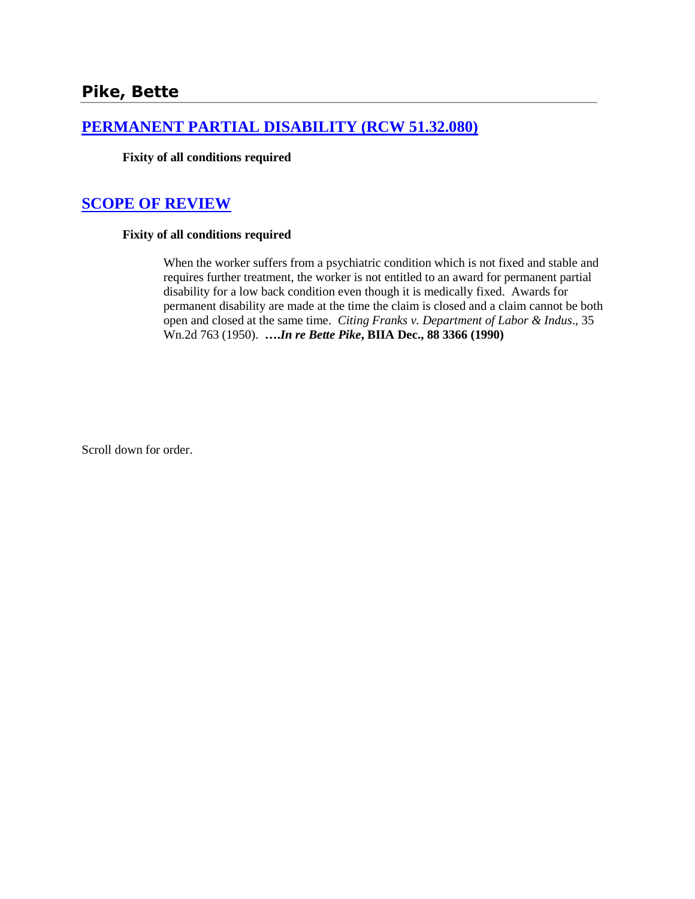## **[PERMANENT PARTIAL DISABILITY \(RCW 51.32.080\)](http://www.biia.wa.gov/SDSubjectIndex.html#PERMANENT_PARTIAL_DISABILITY)**

**Fixity of all conditions required**

# **[SCOPE OF REVIEW](http://www.biia.wa.gov/SDSubjectIndex.html#SCOPE_OF_REVIEW)**

### **Fixity of all conditions required**

When the worker suffers from a psychiatric condition which is not fixed and stable and requires further treatment, the worker is not entitled to an award for permanent partial disability for a low back condition even though it is medically fixed. Awards for permanent disability are made at the time the claim is closed and a claim cannot be both open and closed at the same time. *Citing Franks v. Department of Labor & Indus*., 35 Wn.2d 763 (1950). **….***In re Bette Pike***, BIIA Dec., 88 3366 (1990)**

Scroll down for order.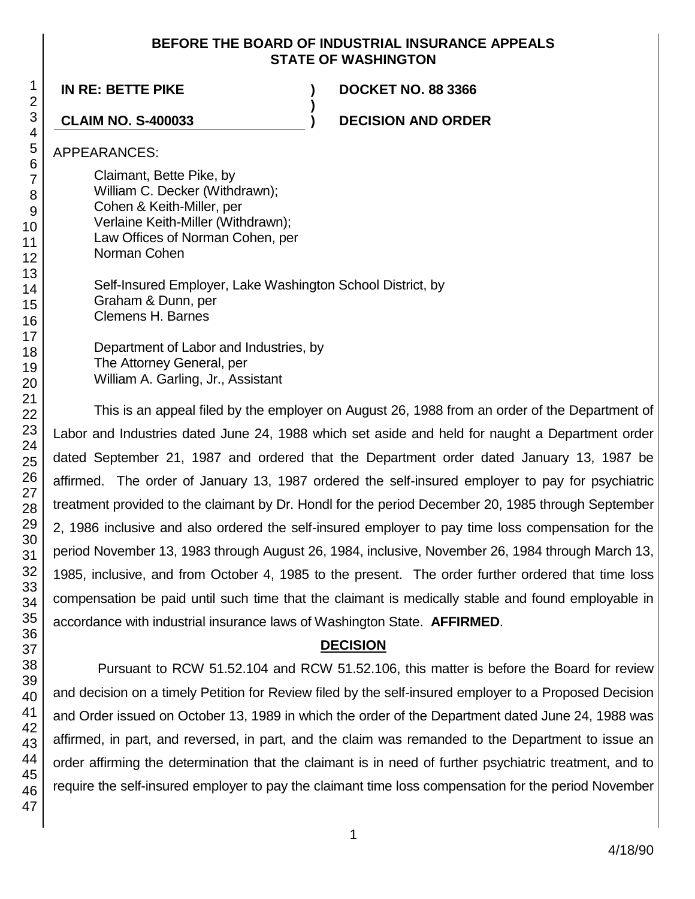### **BEFORE THE BOARD OF INDUSTRIAL INSURANCE APPEALS STATE OF WASHINGTON**

**)**

**IN RE: BETTE PIKE ) DOCKET NO. 88 3366**

**CLAIM NO. S-400033 ) DECISION AND ORDER**

APPEARANCES:

Claimant, Bette Pike, by William C. Decker (Withdrawn);

- Cohen & Keith-Miller, per
- Verlaine Keith-Miller (Withdrawn);
- Law Offices of Norman Cohen, per
- Norman Cohen
	- Self-Insured Employer, Lake Washington School District, by Graham & Dunn, per Clemens H. Barnes

Department of Labor and Industries, by The Attorney General, per William A. Garling, Jr., Assistant

This is an appeal filed by the employer on August 26, 1988 from an order of the Department of Labor and Industries dated June 24, 1988 which set aside and held for naught a Department order dated September 21, 1987 and ordered that the Department order dated January 13, 1987 be affirmed. The order of January 13, 1987 ordered the self-insured employer to pay for psychiatric treatment provided to the claimant by Dr. Hondl for the period December 20, 1985 through September 2, 1986 inclusive and also ordered the self-insured employer to pay time loss compensation for the period November 13, 1983 through August 26, 1984, inclusive, November 26, 1984 through March 13, 1985, inclusive, and from October 4, 1985 to the present. The order further ordered that time loss compensation be paid until such time that the claimant is medically stable and found employable in accordance with industrial insurance laws of Washington State. **AFFIRMED**.

# **DECISION**

Pursuant to RCW 51.52.104 and RCW 51.52.106, this matter is before the Board for review and decision on a timely Petition for Review filed by the self-insured employer to a Proposed Decision and Order issued on October 13, 1989 in which the order of the Department dated June 24, 1988 was affirmed, in part, and reversed, in part, and the claim was remanded to the Department to issue an order affirming the determination that the claimant is in need of further psychiatric treatment, and to require the self-insured employer to pay the claimant time loss compensation for the period November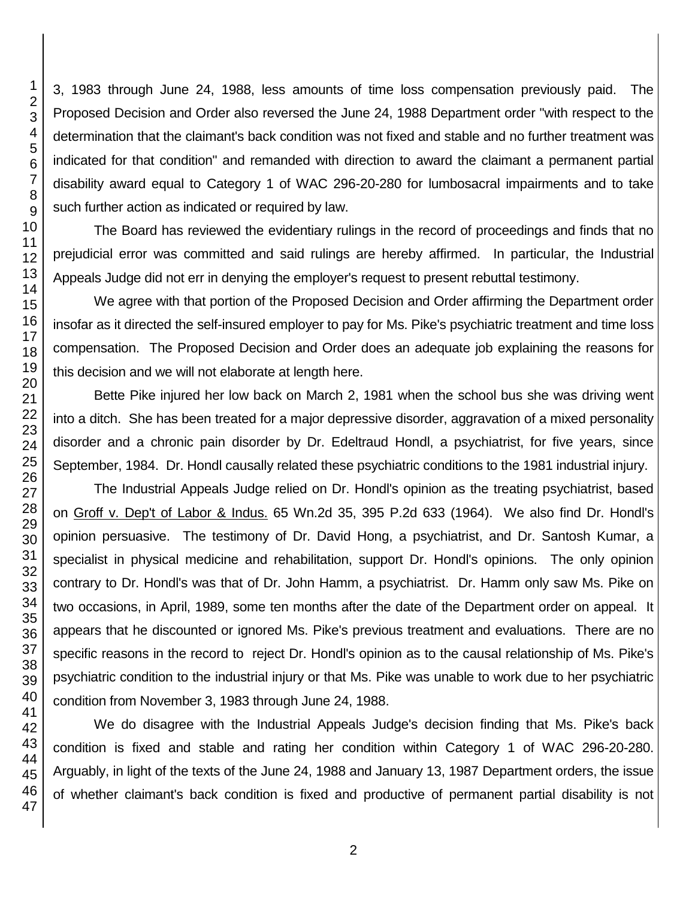3, 1983 through June 24, 1988, less amounts of time loss compensation previously paid. The Proposed Decision and Order also reversed the June 24, 1988 Department order "with respect to the determination that the claimant's back condition was not fixed and stable and no further treatment was indicated for that condition" and remanded with direction to award the claimant a permanent partial disability award equal to Category 1 of WAC 296-20-280 for lumbosacral impairments and to take such further action as indicated or required by law.

The Board has reviewed the evidentiary rulings in the record of proceedings and finds that no prejudicial error was committed and said rulings are hereby affirmed. In particular, the Industrial Appeals Judge did not err in denying the employer's request to present rebuttal testimony.

We agree with that portion of the Proposed Decision and Order affirming the Department order insofar as it directed the self-insured employer to pay for Ms. Pike's psychiatric treatment and time loss compensation. The Proposed Decision and Order does an adequate job explaining the reasons for this decision and we will not elaborate at length here.

Bette Pike injured her low back on March 2, 1981 when the school bus she was driving went into a ditch. She has been treated for a major depressive disorder, aggravation of a mixed personality disorder and a chronic pain disorder by Dr. Edeltraud Hondl, a psychiatrist, for five years, since September, 1984. Dr. Hondl causally related these psychiatric conditions to the 1981 industrial injury.

The Industrial Appeals Judge relied on Dr. Hondl's opinion as the treating psychiatrist, based on Groff v. Dep't of Labor & Indus. 65 Wn.2d 35, 395 P.2d 633 (1964). We also find Dr. Hondl's opinion persuasive. The testimony of Dr. David Hong, a psychiatrist, and Dr. Santosh Kumar, a specialist in physical medicine and rehabilitation, support Dr. Hondl's opinions. The only opinion contrary to Dr. Hondl's was that of Dr. John Hamm, a psychiatrist. Dr. Hamm only saw Ms. Pike on two occasions, in April, 1989, some ten months after the date of the Department order on appeal. It appears that he discounted or ignored Ms. Pike's previous treatment and evaluations. There are no specific reasons in the record to reject Dr. Hondl's opinion as to the causal relationship of Ms. Pike's psychiatric condition to the industrial injury or that Ms. Pike was unable to work due to her psychiatric condition from November 3, 1983 through June 24, 1988.

We do disagree with the Industrial Appeals Judge's decision finding that Ms. Pike's back condition is fixed and stable and rating her condition within Category 1 of WAC 296-20-280. Arguably, in light of the texts of the June 24, 1988 and January 13, 1987 Department orders, the issue of whether claimant's back condition is fixed and productive of permanent partial disability is not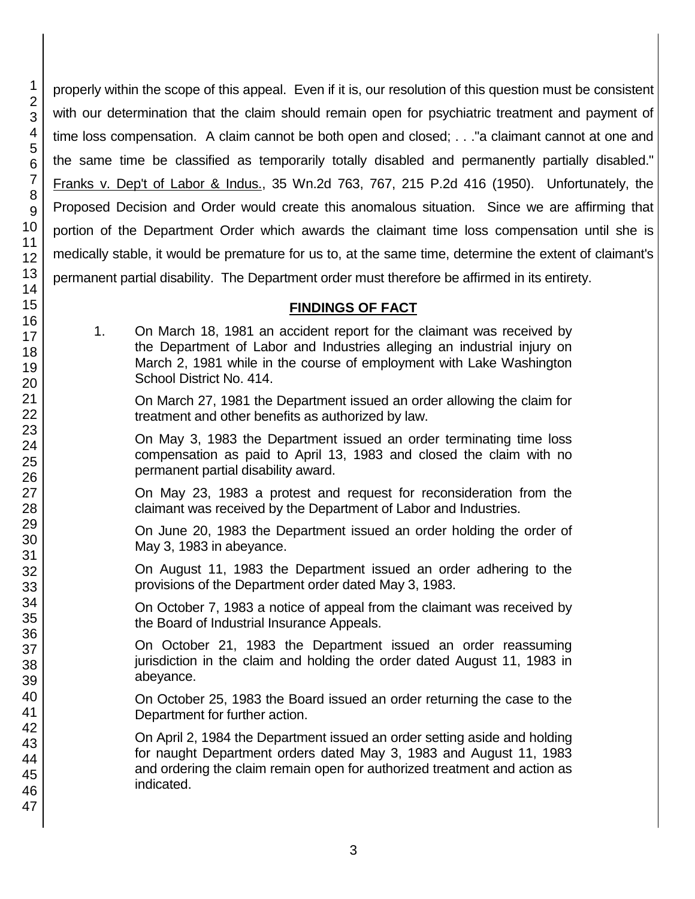properly within the scope of this appeal. Even if it is, our resolution of this question must be consistent with our determination that the claim should remain open for psychiatric treatment and payment of time loss compensation. A claim cannot be both open and closed; . . ."a claimant cannot at one and the same time be classified as temporarily totally disabled and permanently partially disabled." Franks v. Dep't of Labor & Indus., 35 Wn.2d 763, 767, 215 P.2d 416 (1950). Unfortunately, the Proposed Decision and Order would create this anomalous situation. Since we are affirming that portion of the Department Order which awards the claimant time loss compensation until she is medically stable, it would be premature for us to, at the same time, determine the extent of claimant's permanent partial disability. The Department order must therefore be affirmed in its entirety.

## **FINDINGS OF FACT**

1. On March 18, 1981 an accident report for the claimant was received by the Department of Labor and Industries alleging an industrial injury on March 2, 1981 while in the course of employment with Lake Washington School District No. 414.

On March 27, 1981 the Department issued an order allowing the claim for treatment and other benefits as authorized by law.

On May 3, 1983 the Department issued an order terminating time loss compensation as paid to April 13, 1983 and closed the claim with no permanent partial disability award.

On May 23, 1983 a protest and request for reconsideration from the claimant was received by the Department of Labor and Industries.

On June 20, 1983 the Department issued an order holding the order of May 3, 1983 in abeyance.

On August 11, 1983 the Department issued an order adhering to the provisions of the Department order dated May 3, 1983.

On October 7, 1983 a notice of appeal from the claimant was received by the Board of Industrial Insurance Appeals.

On October 21, 1983 the Department issued an order reassuming jurisdiction in the claim and holding the order dated August 11, 1983 in abeyance.

On October 25, 1983 the Board issued an order returning the case to the Department for further action.

On April 2, 1984 the Department issued an order setting aside and holding for naught Department orders dated May 3, 1983 and August 11, 1983 and ordering the claim remain open for authorized treatment and action as indicated.

1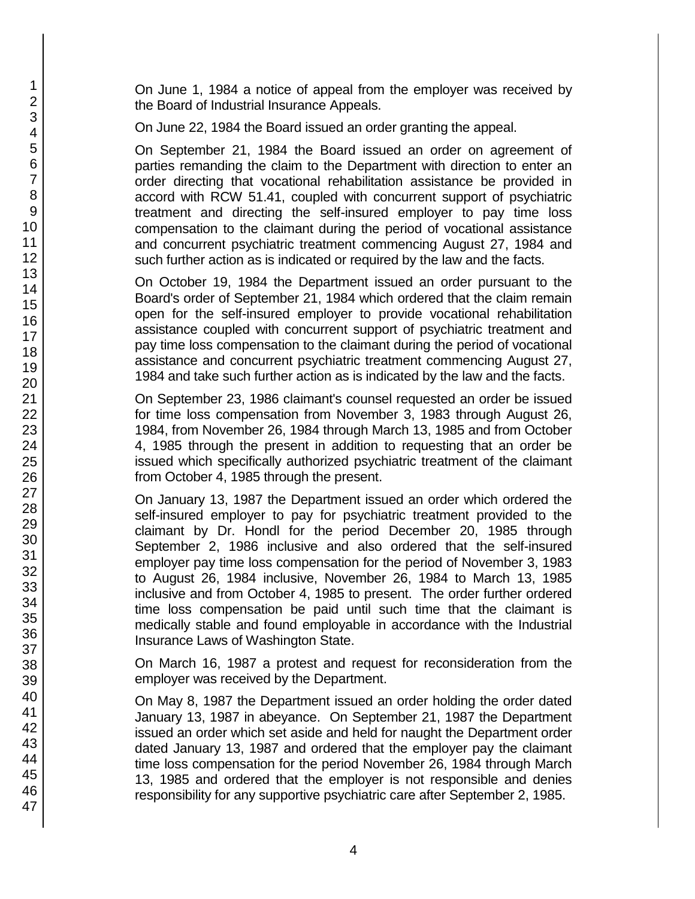On June 1, 1984 a notice of appeal from the employer was received by the Board of Industrial Insurance Appeals.

On June 22, 1984 the Board issued an order granting the appeal.

On September 21, 1984 the Board issued an order on agreement of parties remanding the claim to the Department with direction to enter an order directing that vocational rehabilitation assistance be provided in accord with RCW 51.41, coupled with concurrent support of psychiatric treatment and directing the self-insured employer to pay time loss compensation to the claimant during the period of vocational assistance and concurrent psychiatric treatment commencing August 27, 1984 and such further action as is indicated or required by the law and the facts.

On October 19, 1984 the Department issued an order pursuant to the Board's order of September 21, 1984 which ordered that the claim remain open for the self-insured employer to provide vocational rehabilitation assistance coupled with concurrent support of psychiatric treatment and pay time loss compensation to the claimant during the period of vocational assistance and concurrent psychiatric treatment commencing August 27, 1984 and take such further action as is indicated by the law and the facts.

On September 23, 1986 claimant's counsel requested an order be issued for time loss compensation from November 3, 1983 through August 26, 1984, from November 26, 1984 through March 13, 1985 and from October 4, 1985 through the present in addition to requesting that an order be issued which specifically authorized psychiatric treatment of the claimant from October 4, 1985 through the present.

On January 13, 1987 the Department issued an order which ordered the self-insured employer to pay for psychiatric treatment provided to the claimant by Dr. Hondl for the period December 20, 1985 through September 2, 1986 inclusive and also ordered that the self-insured employer pay time loss compensation for the period of November 3, 1983 to August 26, 1984 inclusive, November 26, 1984 to March 13, 1985 inclusive and from October 4, 1985 to present. The order further ordered time loss compensation be paid until such time that the claimant is medically stable and found employable in accordance with the Industrial Insurance Laws of Washington State.

On March 16, 1987 a protest and request for reconsideration from the employer was received by the Department.

On May 8, 1987 the Department issued an order holding the order dated January 13, 1987 in abeyance. On September 21, 1987 the Department issued an order which set aside and held for naught the Department order dated January 13, 1987 and ordered that the employer pay the claimant time loss compensation for the period November 26, 1984 through March 13, 1985 and ordered that the employer is not responsible and denies responsibility for any supportive psychiatric care after September 2, 1985.

1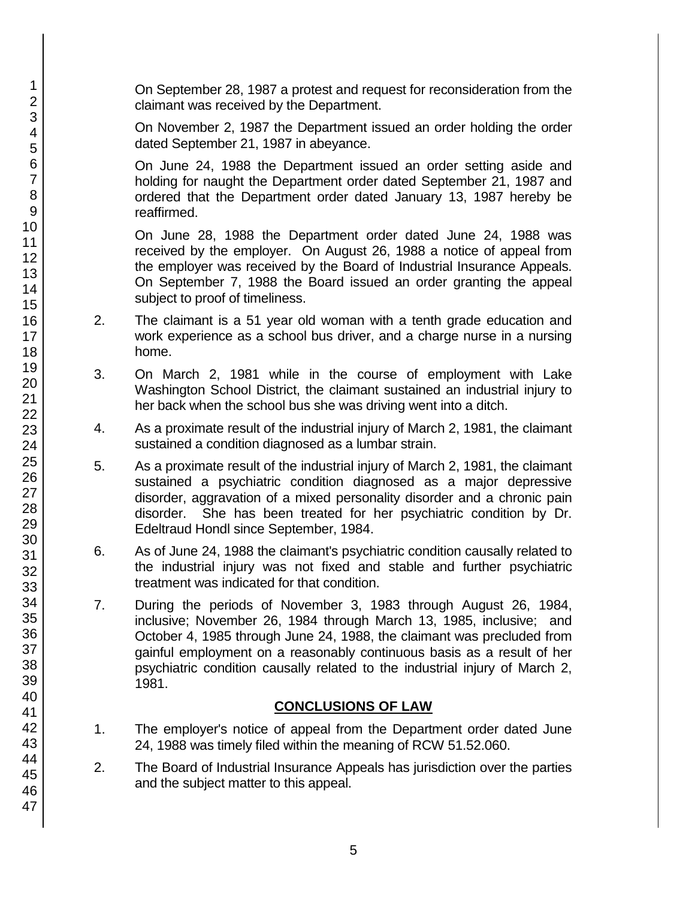On September 28, 1987 a protest and request for reconsideration from the claimant was received by the Department.

On November 2, 1987 the Department issued an order holding the order dated September 21, 1987 in abeyance.

On June 24, 1988 the Department issued an order setting aside and holding for naught the Department order dated September 21, 1987 and ordered that the Department order dated January 13, 1987 hereby be reaffirmed.

On June 28, 1988 the Department order dated June 24, 1988 was received by the employer. On August 26, 1988 a notice of appeal from the employer was received by the Board of Industrial Insurance Appeals. On September 7, 1988 the Board issued an order granting the appeal subject to proof of timeliness.

- 2. The claimant is a 51 year old woman with a tenth grade education and work experience as a school bus driver, and a charge nurse in a nursing home.
- 3. On March 2, 1981 while in the course of employment with Lake Washington School District, the claimant sustained an industrial injury to her back when the school bus she was driving went into a ditch.
- 4. As a proximate result of the industrial injury of March 2, 1981, the claimant sustained a condition diagnosed as a lumbar strain.
- 5. As a proximate result of the industrial injury of March 2, 1981, the claimant sustained a psychiatric condition diagnosed as a major depressive disorder, aggravation of a mixed personality disorder and a chronic pain disorder. She has been treated for her psychiatric condition by Dr. Edeltraud Hondl since September, 1984.
- 6. As of June 24, 1988 the claimant's psychiatric condition causally related to the industrial injury was not fixed and stable and further psychiatric treatment was indicated for that condition.
- 7. During the periods of November 3, 1983 through August 26, 1984, inclusive; November 26, 1984 through March 13, 1985, inclusive; and October 4, 1985 through June 24, 1988, the claimant was precluded from gainful employment on a reasonably continuous basis as a result of her psychiatric condition causally related to the industrial injury of March 2, 1981.

### **CONCLUSIONS OF LAW**

- 1. The employer's notice of appeal from the Department order dated June 24, 1988 was timely filed within the meaning of RCW 51.52.060.
- 2. The Board of Industrial Insurance Appeals has jurisdiction over the parties and the subject matter to this appeal.